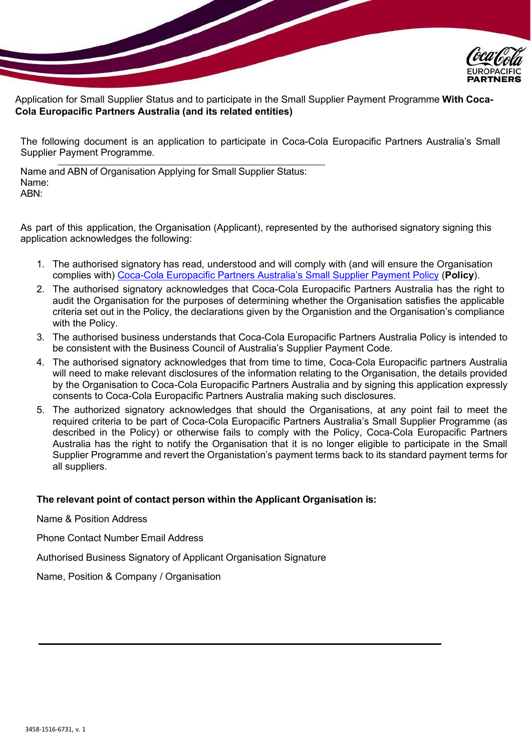

Application for Small Supplier Status and to participate in the Small Supplier Payment Programme **With Coca-Cola Europacific Partners Australia (and its related entities)**

The following document is an application to participate in Coca-Cola Europacific Partners Australia's Small Supplier Payment Programme.

Name and ABN of Organisation Applying for Small Supplier Status: Name: ABN:

As part of this application, the Organisation (Applicant), represented by the authorised signatory signing this application acknowledges the following:

- 1. The authorised signatory has read, understood and will comply with (and will ensure the Organisation complies with) [Coca-Cola Europacific Partners Australia's Small Supplier Payment Policy](https://www.cocacolaep.com/assets/Amatil-/Australia/Supplier-Information/3d02fd9fef/2022_Small-Supplier-Payment-Policy_Australia.pdf) (**Policy**).
- 2. The authorised signatory acknowledges that Coca-Cola Europacific Partners Australia has the right to audit the Organisation for the purposes of determining whether the Organisation satisfies the applicable criteria set out in the Policy, the declarations given by the Organistion and the Organisation's compliance with the Policy.
- 3. The authorised business understands that Coca-Cola Europacific Partners Australia Policy is intended to be consistent with the Business Council of Australia's Supplier Payment Code.
- 4. The authorised signatory acknowledges that from time to time, Coca-Cola Europacific partners Australia will need to make relevant disclosures of the information relating to the Organisation, the details provided by the Organisation to Coca-Cola Europacific Partners Australia and by signing this application expressly consents to Coca-Cola Europacific Partners Australia making such disclosures.
- 5. The authorized signatory acknowledges that should the Organisations, at any point fail to meet the required criteria to be part of Coca-Cola Europacific Partners Australia's Small Supplier Programme (as described in the Policy) or otherwise fails to comply with the Policy, Coca-Cola Europacific Partners Australia has the right to notify the Organisation that it is no longer eligible to participate in the Small Supplier Programme and revert the Organistation's payment terms back to its standard payment terms for all suppliers.

# **The relevant point of contact person within the Applicant Organisation is:**

Name & Position Address

Phone Contact Number Email Address

Authorised Business Signatory of Applicant Organisation Signature

Name, Position & Company / Organisation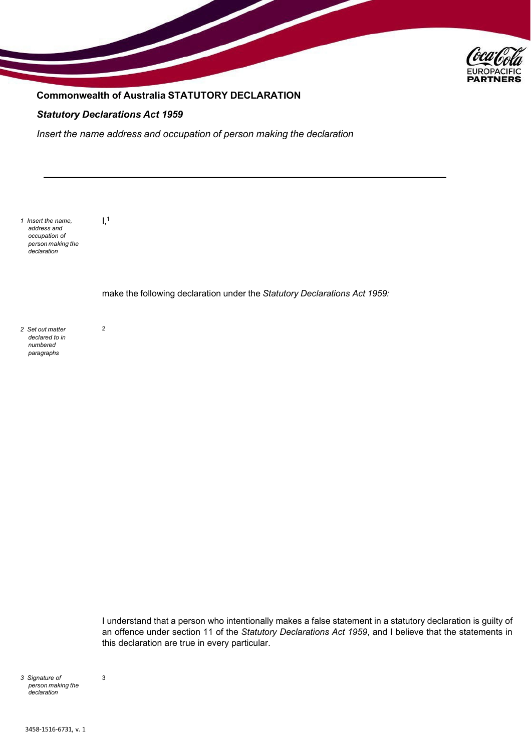

# **Commonwealth of Australia STATUTORY DECLARATION**

## *Statutory Declarations Act 1959*

 $I<sub>1</sub>$ 

2

*Insert the name address and occupation of person making the declaration*

*1 Insert the name, address and occupation of person making the declaration*

make the following declaration under the *Statutory Declarations Act 1959:*

*2 Set out matter declared to in numbered paragraphs*

> I understand that a person who intentionally makes a false statement in a statutory declaration is guilty of an offence under section 11 of the *Statutory Declarations Act 1959*, and I believe that the statements in this declaration are true in every particular.

*3 Signature of person making the declaration*

3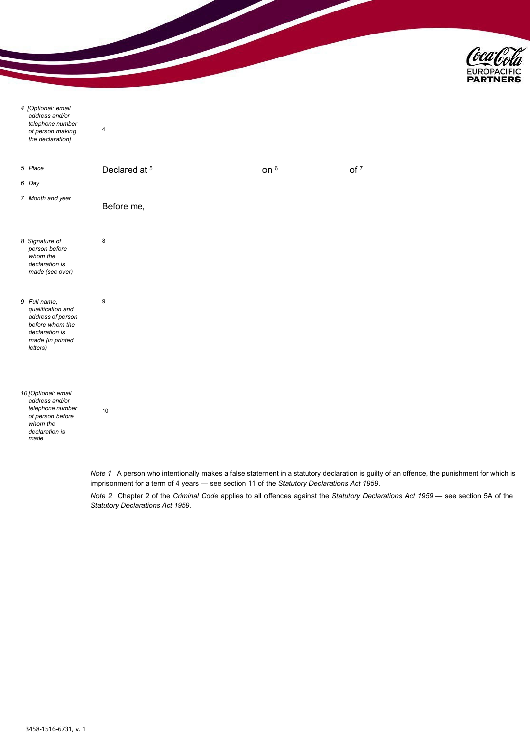

| 4 [Optional: email<br>address and/or<br>telephone number<br>of person making<br>the declaration]                            | 4  |                                                                                                                                           |      |                 |  |
|-----------------------------------------------------------------------------------------------------------------------------|----|-------------------------------------------------------------------------------------------------------------------------------------------|------|-----------------|--|
| 5 Place                                                                                                                     |    | Declared at 5                                                                                                                             | on 6 | of <sup>7</sup> |  |
| 6 Day                                                                                                                       |    |                                                                                                                                           |      |                 |  |
| 7 Month and year                                                                                                            |    | Before me,                                                                                                                                |      |                 |  |
| 8 Signature of<br>person before<br>whom the<br>declaration is<br>made (see over)                                            | 8  |                                                                                                                                           |      |                 |  |
| 9 Full name,<br>qualification and<br>address of person<br>before whom the<br>declaration is<br>made (in printed<br>letters) | 9  |                                                                                                                                           |      |                 |  |
| 10 [Optional: email<br>address and/or<br>telephone number<br>of person before<br>whom the<br>declaration is<br>made         | 10 |                                                                                                                                           |      |                 |  |
|                                                                                                                             |    | Note 1 A person who intentionally makes a false statement in a statutory declaration is guilty of an offence, the punishment for which is |      |                 |  |

imprisonment for a term of 4 years — see section 11 of the *Statutory Declarations Act 1959*.

*Note 2* Chapter 2 of the *Criminal Code* applies to all offences against the *Statutory Declarations Act 1959* — see section 5A of the *Statutory Declarations Act 1959*.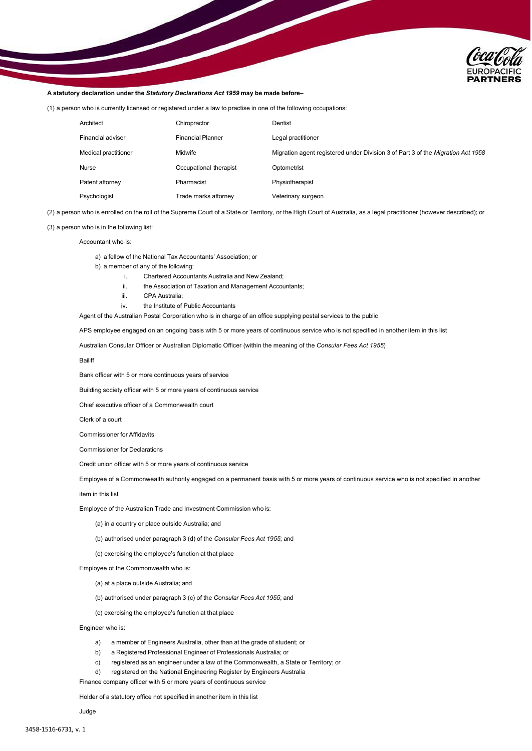

#### **A statutory declaration under the** *Statutory Declarations Act 1959* **may be made before–**

(1) a person who is currently licensed or registered under a law to practise in one of the following occupations:

| Architect            | Chiropractor             | Dentist                                                                                |
|----------------------|--------------------------|----------------------------------------------------------------------------------------|
| Financial adviser    | <b>Financial Planner</b> | Legal practitioner                                                                     |
| Medical practitioner | Midwife                  | Migration agent registered under Division 3 of Part 3 of the <i>Migration Act 1958</i> |
| Nurse                | Occupational therapist   | Optometrist                                                                            |
| Patent attorney      | Pharmacist               | Physiotherapist                                                                        |
| Psychologist         | Trade marks attorney     | Veterinary surgeon                                                                     |

(2) a person who is enrolled on the roll of the Supreme Court of a State or Territory, or the High Court of Australia, as a legal practitioner (however described); or

#### (3) a person who is in the following list:

Accountant who is:

a) a fellow of the National Tax Accountants' Association; or

b) a member of any of the following:

- i. Chartered Accountants Australia and New Zealand;
- ii. the Association of Taxation and Management Accountants;
- iii. CPA Australia;
- iv. the Institute of Public Accountants

Agent of the Australian Postal Corporation who is in charge of an office supplying postal services to the public

APS employee engaged on an ongoing basis with 5 or more years of continuous service who is not specified in another item in this list

Australian Consular Officer or Australian Diplomatic Officer (within the meaning of the *Consular Fees Act 1955*)

Bailiff

Bank officer with 5 or more continuous years of service

Building society officer with 5 or more years of continuous service

Chief executive officer of a Commonwealth court

Clerk of a court

Commissioner for Affidavits

Commissioner for Declarations

Credit union officer with 5 or more years of continuous service

Employee of a Commonwealth authority engaged on a permanent basis with 5 or more years of continuous service who is not specified in another

item in this list

Employee of the Australian Trade and Investment Commission who is:

(a) in a country or place outside Australia; and

(b) authorised under paragraph 3 (d) of the *Consular Fees Act 1955*; and

(c) exercising the employee's function at that place

Employee of the Commonwealth who is:

(a) at a place outside Australia; and

(b) authorised under paragraph 3 (c) of the *Consular Fees Act 1955*; and

(c) exercising the employee's function at that place

Engineer who is:

- a) a member of Engineers Australia, other than at the grade of student; or
- b) a Registered Professional Engineer of Professionals Australia; or
- c) registered as an engineer under a law of the Commonwealth, a State or Territory; or
- d) registered on the National Engineering Register by Engineers Australia

Finance company officer with 5 or more years of continuous service

Holder of a statutory office not specified in another item in this list

Judge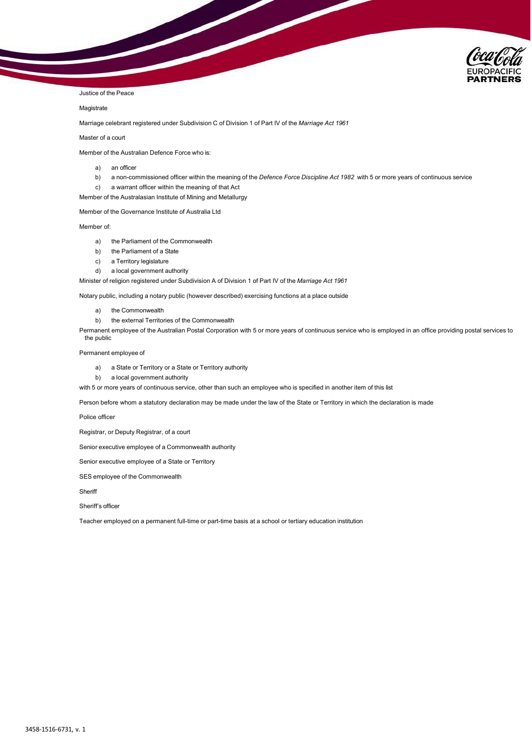

#### Justice of the Peace

### **Magistrate**

Marriage celebrant registered under Subdivision C of Division 1 of Part IV of the *Marriage Act 1961*

#### Master of a court

Member of the Australian Defence Force who is:

- a) an officer
- b) a non-commissioned officer within the meaning of the *Defence Force Discipline Act 1982* with 5 or more years of continuous service
- c) a warrant officer within the meaning of that Act
- Member of the Australasian Institute of Mining and Metallurgy

Member of the Governance Institute of Australia Ltd

Member of:

- a) the Parliament of the Commonwealth
- b) the Parliament of a State
- c) a Territory legislature
- d) a local government authority

Minister of religion registered under Subdivision A of Division 1 of Part IV of the *Marriage Act 1961*

Notary public, including a notary public (however described) exercising functions at a place outside

- a) the Commonwealth
- b) the external Territories of the Commonwealth

Permanent employee of the Australian Postal Corporation with 5 or more years of continuous service who is employed in an office providing postal services to the public

#### Permanent employee of

- a) a State or Territory or a State or Territory authority
- b) a local government authority

with 5 or more years of continuous service, other than such an employee who is specified in another item of this list

Person before whom a statutory declaration may be made under the law of the State or Territory in which the declaration is made

Police officer

Registrar, or Deputy Registrar, of a court

Senior executive employee of a Commonwealth authority

Senior executive employee of a State or Territory

SES employee of the Commonwealth

**Sheriff** 

Sheriff's officer

Teacher employed on a permanent full-time or part-time basis at a school or tertiary education institution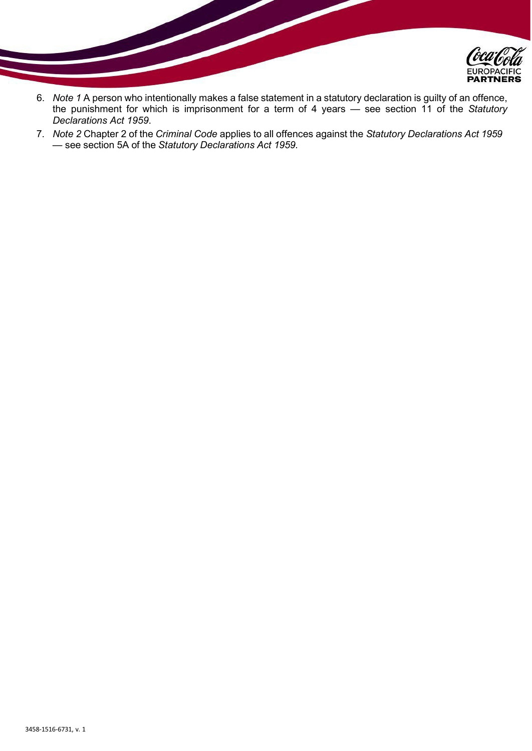

- 6. *Note 1* A person who intentionally makes a false statement in a statutory declaration is guilty of an offence, the punishment for which is imprisonment for a term of 4 years — see section 11 of the *Statutory Declarations Act 1959*.
- 7. *Note 2* Chapter 2 of the *Criminal Code* applies to all offences against the *Statutory Declarations Act 1959* — see section 5A of the *Statutory Declarations Act 1959*.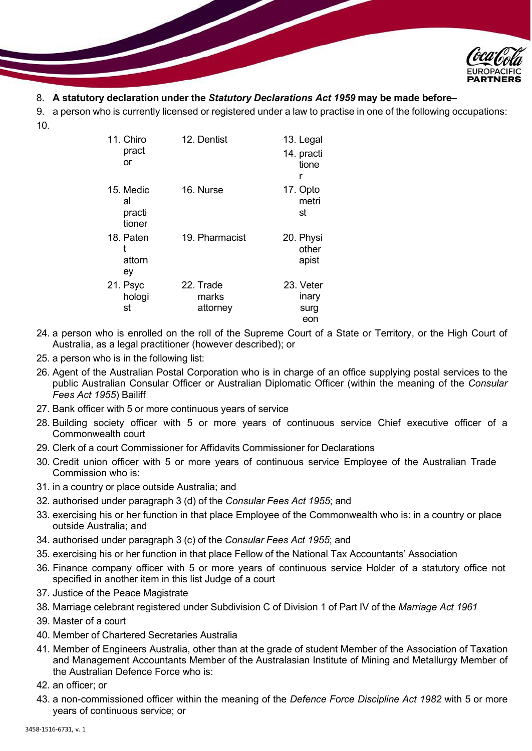

# 8. **A statutory declaration under the** *Statutory Declarations Act 1959* **may be made before–**

9. a person who is currently licensed or registered under a law to practise in one of the following occupations: 10.

| 11. Chiro<br>pract                  | 12. Dentist                    | 13. Legal<br>14. practi           |
|-------------------------------------|--------------------------------|-----------------------------------|
| or                                  |                                | tione<br>r                        |
| 15. Medic<br>al<br>practi<br>tioner | 16. Nurse                      | 17. Opto<br>metri<br>st           |
| 18. Paten<br>t<br>attorn<br>ey      | 19. Pharmacist                 | 20. Physi<br>other<br>apist       |
| 21. Psyc<br>hologi<br>st            | 22. Trade<br>marks<br>attorney | 23. Veter<br>inary<br>surg<br>eon |

- 24. a person who is enrolled on the roll of the Supreme Court of a State or Territory, or the High Court of Australia, as a legal practitioner (however described); or
- 25. a person who is in the following list:
- 26. Agent of the Australian Postal Corporation who is in charge of an office supplying postal services to the public Australian Consular Officer or Australian Diplomatic Officer (within the meaning of the *Consular Fees Act 1955*) Bailiff
- 27. Bank officer with 5 or more continuous years of service
- 28. Building society officer with 5 or more years of continuous service Chief executive officer of a Commonwealth court
- 29. Clerk of a court Commissioner for Affidavits Commissioner for Declarations
- 30. Credit union officer with 5 or more years of continuous service Employee of the Australian Trade Commission who is:
- 31. in a country or place outside Australia; and
- 32. authorised under paragraph 3 (d) of the *Consular Fees Act 1955*; and
- 33. exercising his or her function in that place Employee of the Commonwealth who is: in a country or place outside Australia; and
- 34. authorised under paragraph 3 (c) of the *Consular Fees Act 1955*; and
- 35. exercising his or her function in that place Fellow of the National Tax Accountants' Association
- 36. Finance company officer with 5 or more years of continuous service Holder of a statutory office not specified in another item in this list Judge of a court
- 37. Justice of the Peace Magistrate
- 38. Marriage celebrant registered under Subdivision C of Division 1 of Part IV of the *Marriage Act 1961*
- 39. Master of a court
- 40. Member of Chartered Secretaries Australia
- 41. Member of Engineers Australia, other than at the grade of student Member of the Association of Taxation and Management Accountants Member of the Australasian Institute of Mining and Metallurgy Member of the Australian Defence Force who is:
- 42. an officer; or
- 43. a non-commissioned officer within the meaning of the *Defence Force Discipline Act 1982* with 5 or more years of continuous service; or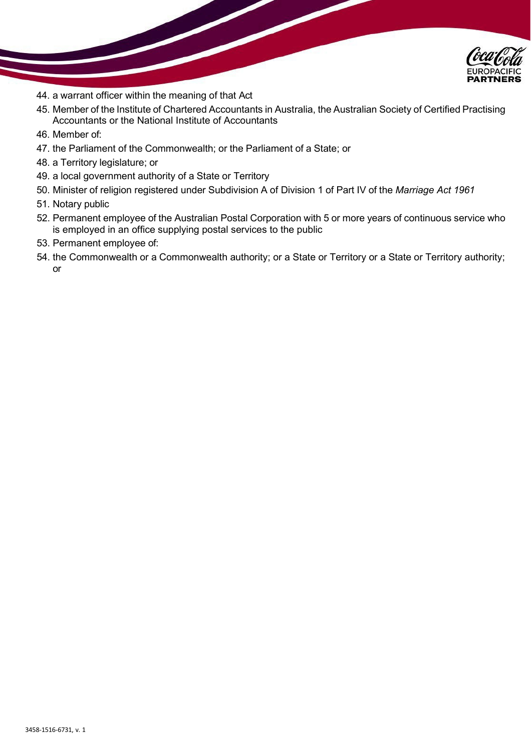

- 44. a warrant officer within the meaning of that Act
- 45. Member of the Institute of Chartered Accountants in Australia, the Australian Society of Certified Practising Accountants or the National Institute of Accountants
- 46. Member of:
- 47. the Parliament of the Commonwealth; or the Parliament of a State; or
- 48. a Territory legislature; or
- 49. a local government authority of a State or Territory
- 50. Minister of religion registered under Subdivision A of Division 1 of Part IV of the *Marriage Act 1961*
- 51. Notary public
- 52. Permanent employee of the Australian Postal Corporation with 5 or more years of continuous service who is employed in an office supplying postal services to the public
- 53. Permanent employee of:
- 54. the Commonwealth or a Commonwealth authority; or a State or Territory or a State or Territory authority; or